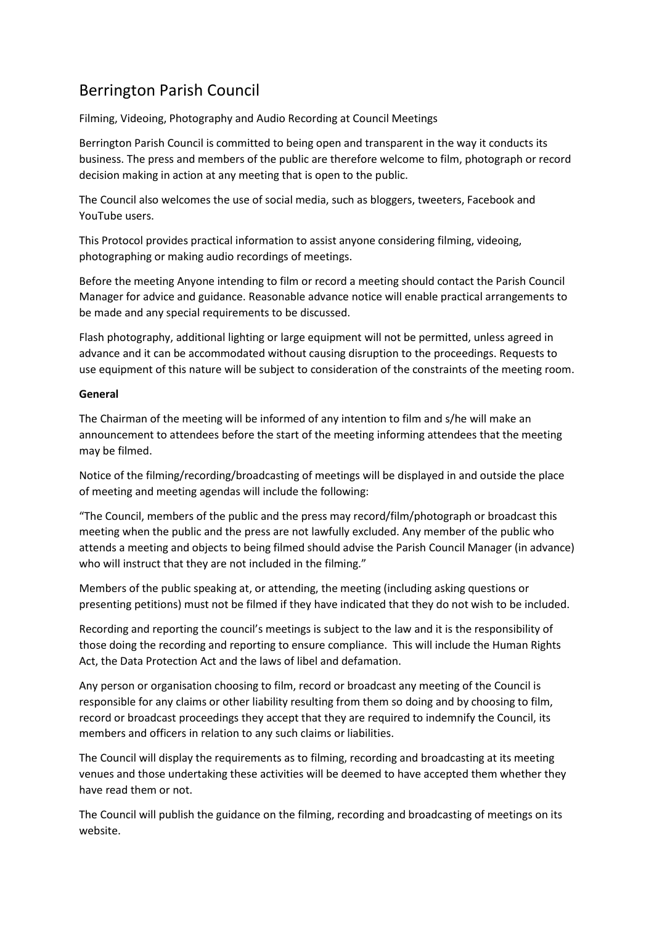## Berrington Parish Council

Filming, Videoing, Photography and Audio Recording at Council Meetings

Berrington Parish Council is committed to being open and transparent in the way it conducts its business. The press and members of the public are therefore welcome to film, photograph or record decision making in action at any meeting that is open to the public.

The Council also welcomes the use of social media, such as bloggers, tweeters, Facebook and YouTube users.

This Protocol provides practical information to assist anyone considering filming, videoing, photographing or making audio recordings of meetings.

Before the meeting Anyone intending to film or record a meeting should contact the Parish Council Manager for advice and guidance. Reasonable advance notice will enable practical arrangements to be made and any special requirements to be discussed.

Flash photography, additional lighting or large equipment will not be permitted, unless agreed in advance and it can be accommodated without causing disruption to the proceedings. Requests to use equipment of this nature will be subject to consideration of the constraints of the meeting room.

## **General**

The Chairman of the meeting will be informed of any intention to film and s/he will make an announcement to attendees before the start of the meeting informing attendees that the meeting may be filmed.

Notice of the filming/recording/broadcasting of meetings will be displayed in and outside the place of meeting and meeting agendas will include the following:

"The Council, members of the public and the press may record/film/photograph or broadcast this meeting when the public and the press are not lawfully excluded. Any member of the public who attends a meeting and objects to being filmed should advise the Parish Council Manager (in advance) who will instruct that they are not included in the filming."

Members of the public speaking at, or attending, the meeting (including asking questions or presenting petitions) must not be filmed if they have indicated that they do not wish to be included.

Recording and reporting the council's meetings is subject to the law and it is the responsibility of those doing the recording and reporting to ensure compliance. This will include the Human Rights Act, the Data Protection Act and the laws of libel and defamation.

Any person or organisation choosing to film, record or broadcast any meeting of the Council is responsible for any claims or other liability resulting from them so doing and by choosing to film, record or broadcast proceedings they accept that they are required to indemnify the Council, its members and officers in relation to any such claims or liabilities.

The Council will display the requirements as to filming, recording and broadcasting at its meeting venues and those undertaking these activities will be deemed to have accepted them whether they have read them or not.

The Council will publish the guidance on the filming, recording and broadcasting of meetings on its website.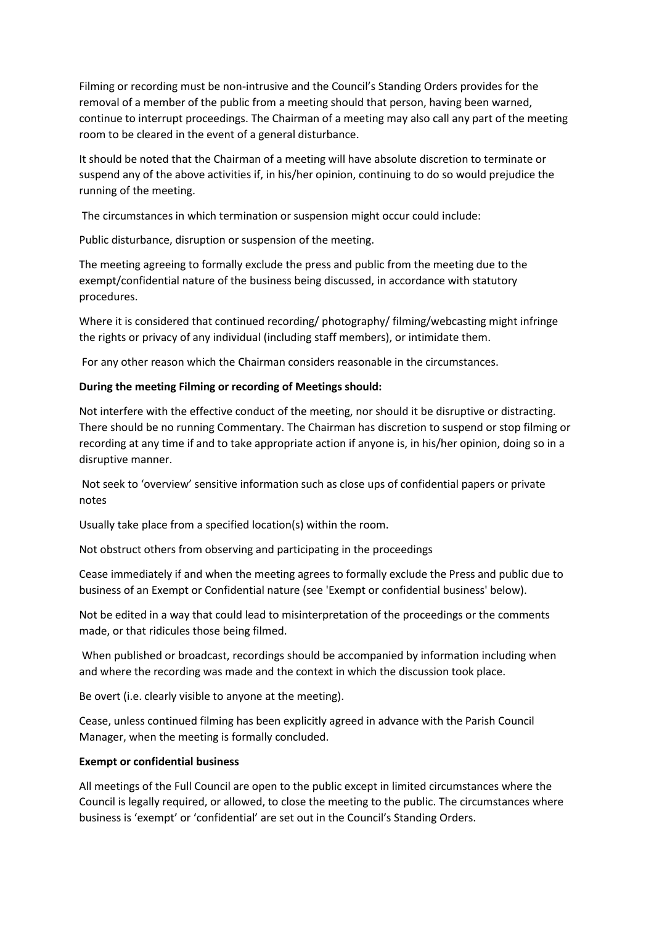Filming or recording must be non-intrusive and the Council's Standing Orders provides for the removal of a member of the public from a meeting should that person, having been warned, continue to interrupt proceedings. The Chairman of a meeting may also call any part of the meeting room to be cleared in the event of a general disturbance.

It should be noted that the Chairman of a meeting will have absolute discretion to terminate or suspend any of the above activities if, in his/her opinion, continuing to do so would prejudice the running of the meeting.

The circumstances in which termination or suspension might occur could include:

Public disturbance, disruption or suspension of the meeting.

The meeting agreeing to formally exclude the press and public from the meeting due to the exempt/confidential nature of the business being discussed, in accordance with statutory procedures.

Where it is considered that continued recording/ photography/ filming/webcasting might infringe the rights or privacy of any individual (including staff members), or intimidate them.

For any other reason which the Chairman considers reasonable in the circumstances.

## **During the meeting Filming or recording of Meetings should:**

Not interfere with the effective conduct of the meeting, nor should it be disruptive or distracting. There should be no running Commentary. The Chairman has discretion to suspend or stop filming or recording at any time if and to take appropriate action if anyone is, in his/her opinion, doing so in a disruptive manner.

Not seek to 'overview' sensitive information such as close ups of confidential papers or private notes

Usually take place from a specified location(s) within the room.

Not obstruct others from observing and participating in the proceedings

Cease immediately if and when the meeting agrees to formally exclude the Press and public due to business of an Exempt or Confidential nature (see 'Exempt or confidential business' below).

Not be edited in a way that could lead to misinterpretation of the proceedings or the comments made, or that ridicules those being filmed.

When published or broadcast, recordings should be accompanied by information including when and where the recording was made and the context in which the discussion took place.

Be overt (i.e. clearly visible to anyone at the meeting).

Cease, unless continued filming has been explicitly agreed in advance with the Parish Council Manager, when the meeting is formally concluded.

## **Exempt or confidential business**

All meetings of the Full Council are open to the public except in limited circumstances where the Council is legally required, or allowed, to close the meeting to the public. The circumstances where business is 'exempt' or 'confidential' are set out in the Council's Standing Orders.